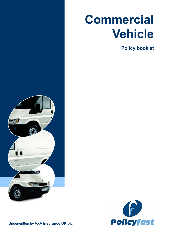# **Commercial Vehicle**

**Policy booklet**





**Underwritten by AXA Insurance UK plc**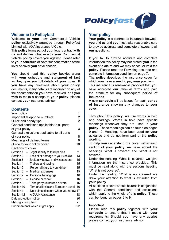

# **Welcome to Policyfast**

Welcome to **your** new Commercial Vehicle **policy** exclusively arranged through Policyfast Limited with AXA Insurance UK plc.

This **policy** forms part of **your** legal contract with **us** and defines what exactly **your** Commercial Vehicle **policy** covers **you** against. Please refer to **your schedule** of cover for confirmation of the level of cover **you** have chosen.

**You** should read this **policy** booklet along with **your schedule** and **statement of fact**  as they give **you** full details of **your** cover. If **you** have any questions about **your policy**  documents, if any details are incorrect on any of the documentation **you** have received, or if **you**  wish to make a change to **your policy**, please contact **your** insurance advisor.

# **Contents**

| Your policy                                         | 1  |  |  |  |
|-----------------------------------------------------|----|--|--|--|
| 2<br>Important telephone numbers                    |    |  |  |  |
| Quick and handy tips                                |    |  |  |  |
| General conditions applicable to all parts          |    |  |  |  |
| of your policy<br>3                                 |    |  |  |  |
| General exclusions applicable to all parts          |    |  |  |  |
| of your policy<br>8                                 |    |  |  |  |
| 9<br>Meanings of defined terms                      |    |  |  |  |
| Guide to your policy cover                          | 10 |  |  |  |
| Sections of cover                                   |    |  |  |  |
| Section $1 -$ Legal liability to third parties      | 11 |  |  |  |
| Section $2 - Loss$ of or damage to your vehicle     | 13 |  |  |  |
| Section 3 - Broken windows and windscreens          | 15 |  |  |  |
| Section 4 - Trailers and towing                     | 15 |  |  |  |
| Section $5$ – Personal injury to your driver        | 15 |  |  |  |
| Section 6 - Medical expenses                        | 15 |  |  |  |
| Section 7 - Personal belongings                     | 16 |  |  |  |
| Section 8 - Service or repair                       | 16 |  |  |  |
| Section 9 - Third party uninsured drivers           | 16 |  |  |  |
| Section 10 - Territorial limits and European travel | 16 |  |  |  |
| Section 11 - No claims discount when you renew 17   |    |  |  |  |
| Section 12 - AXA UK Assistance                      | 18 |  |  |  |
| 20<br>Data protection notice                        |    |  |  |  |
| 21<br>Making a complaint                            |    |  |  |  |
| Endorsements which might apply<br>22                |    |  |  |  |
|                                                     |    |  |  |  |

# **Your policy**

**Your policy** is a contract of insurance between **you** and **us** and **you** must take reasonable care to provide accurate and complete answers to all **our** questions.

If **you** fail to provide accurate and complete information this policy may not protect **you** in the event of a **claim** and **we** may cancel or void the **policy**. Please read the Providing accurate and complete information condition on page 7.

The **policy** describes the insurance cover for which **you** have agreed to pay **your** premium.

This insurance is renewable provided that **you**  have accepted **our** renewal terms and paid the premium for any subsequent **period of insurance**.

A new **schedule** will be issued for each **period of insurance** showing any changes to **your**  cover.

Throughout this **policy**, **we** use words in bold and headings. Words in bold have specific meanings whenever they are used in **your policy**. These meanings can be found on pages 9 and 10. Headings have been used for **your**  guidance and do not form part of the **policy**  wording.

To help **you** understand the cover within each section of **your policy we** have added the headings 'What is covered' and 'What is not covered'.

Under the heading 'What is covered' **we** give information on the insurance provided. This must be read along with the sections heading 'What is not covered'.

Under the heading 'What is not covered' **we**  draw **your** attention to what is excluded from **your policy**.

All sections of cover should be read in conjunction with the General conditions and exclusions which apply to the whole of this **policy**. These can be found on pages 3 to 9.

#### **Important**

Please read this **policy** together with **your schedule** to ensure that it meets with **your**  requirements. Should **you** have any queries please contact **your** insurance advisor.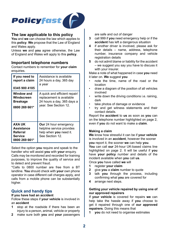

# **The law applicable to this policy**

**You** and **we** can choose the law which applies to this **policy**. **We** propose that the Law of England and Wales apply.

Unless **we** and **you** agree otherwise, the Law of England and Wales will apply to this **policy**.

## **Important telephone numbers**

Contact numbers to remember for **your claim** enquiries.

| If you need to                                               | Assistance is available                                                                                |
|--------------------------------------------------------------|--------------------------------------------------------------------------------------------------------|
| report a claim                                               | 24 hours a day, 365 day                                                                                |
| 0345 900 4185                                                | a vear                                                                                                 |
| Window and                                                   | A quick and efficient repair/                                                                          |
| Windscreen                                                   | replacement is available                                                                               |
| <b>Breakage</b>                                              | 24 hours a day, 365 days a                                                                             |
| 0800 269 661*                                                | year. See Section 12.                                                                                  |
| AXA UK<br>Assistance<br>Referral<br>Service<br>0800 269 661* | <b>Our</b> 24 hour emergency<br>helpline service provides<br>help when you need it.<br>See Section 12. |

Select the option **you** require and speak to the handler who will assist **you** with **your** enquiry. Calls may be monitored and recorded for training purposes, to improve the quality of service and to detect and prevent fraud.

\*Calls to 0800 number are free from a BT landline. **You** should check with **your** own phone operator in case different call charges apply, and calls from a mobile phone can be substantially higher.

# **Quick and handy tips**

#### **If you have had an accident**

Follow these steps if **your vehicle** is involved in an **accident**

- **1** stop at the roadside if there has been an injury to a person, animal, vehicle or property
- **2** make sure both **you** and **your** passengers

are safe and out of danger

- **3** call 999 if **you** need emergency help or if the **accident** has left a dangerous situation
- **4** if another driver is involved, please ask for their details – name, address, telephone number, insurance company and vehicle registration details
- **5** do not admit blame or liability for the accident – we suggest you say you have to discuss it with your insurer.

Make a note of what happened in case **you** need it later on. **We** suggest **you**

- note the time, name of the road or the location
- draw a diagram of the position of all vehicles involved
- write down the driving conditions i.e. raining dark
- take photos of damage or evidence
- try and get witness statements and their contact details.

Report the **accident** to **us** as soon as **you** can on the telephone number highlighted on page 2, even if **you** do not want to make a **claim**.

#### **Making a claim**

**We** know how stressful it can be if **your vehicle** is involved in an **accident**, however the sooner **you** report it, the sooner **we** can help **you**.

**You** can call **our** 24-hour UK-based claims line highlighted on page 2. It will be useful if **you**  have **your policy** number and details of the incident available when **you** call **us**.

Once **you** have called **we** will

- **1** register **your claim**
- **2** give **you** a **claim** number to quote
- **3** talk **you** through the process, including confirming what **you** are covered for
- **4** arrange next steps.

#### **Getting your vehicle repaired by using one of our approved repairers**

If **your vehicle** is covered for repairs **we** can help take the hassle away if **you** choose to get it repaired through one of **our approved repairers**. Doing this means that

**1 you** do not need to organise estimates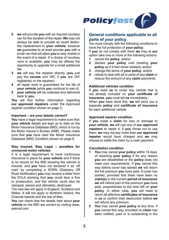

- **2 we** will provide **you** with an insured courtesy van for the duration of the repair. **We** may not always be able to provide an exact likeforlike replacement to **your vehicle**; however **we** guarantee to at least provide **you** with a small van that will allow **you** to stay mobile in the event of a repair. If a choice of courtesy vans is available, **you** may be offered the opportunity to upgrade for a small additional fee
- **3 we** will pay the repairer directly (**you** just pay the **excess** and VAT, if **you** are VAT registered, to the repairer)
- **4** all repair work is guaranteed for the life of **your vehicle** (while **you** continue to own it)
- **5 your vehicle** will be collected and delivered back to **you**.

**You** will find further information regarding **our approved repairers** under the Approved repairer condition shown on page 2.

#### **Important – are your details correct?**

**You** have a legal requirement to make sure that **your vehicle** details are kept up to date on the Motor Insurance Database (MID), which is run by the Motor Insurer's Bureau (MIB). Please make sure that **you** have read the Motor Insurance Database (MID) Condition shown on page 6.

#### **Stay insured, Stay Legal – penalties for uninsured motor vehicles**

It is a legal requirement to have continuous insurance in place for **your vehicle** and if there is no record on the MID showing the vehicle is insured, and **you** have not declared it as 'off road' by completing a SORN (Statutory Off Road Notification) **you** may receive a letter from the DVLA advising that **you** could face a fine or prosecution, and the vehicle could also be clamped, seized and ultimately, destroyed.

The new law will apply in England, Scotland and Wales. It will not apply in Northern Ireland, the Channel Islands and the Isle of Man.

**You** can check that the details held about **your vehicle** on the MID are correct by visiting www. askmid.com

# **General conditions applicable to all parts of your policy**

You must comply with the following conditions to have the full protection of **your policy**.

If **you** do not comply with them **we** may at **our**  option take one or more of the following actions:<br>1 cancel the **policy** and/or

- **1** cancel the **policy**, and/or
- **2** declare **your policy** void (treating **your policy** as if it had never existed), and/or
- **3** change the terms of **your policy**, and/or
- **4** refuse to deal with all or parts of any **claim** or reduce the amount of any **claim** payments.

## **Additional vehicles condition**

If **you** need **us** to cover any vehicle that is not already included on **your certificate of insurance**, **you** must tell **us** immediately.

When **you** have done this, **we** will send you a separate **policy** and **certificate of insurance**  for each additional vehicle.

#### **Approved repairer condition**

If **you** make a **claim** for loss or damage to **your vehicle**, **we** will use one of **our approved repairers** to repair it. If **you** chose not to use them, **we** may not pay more than **our approved repairer** would have charged and **we** may choose to settle the claim by a cash payment.

# **Cancellation condition**

- **1 You** may cancel **your policy** within 14 days of receiving **your policy** if for any reason **you** are dissatisfied or the **policy** does not meet your requirements. If **you** cancel this way before cover has started **we** will return the full premium **you** have paid. If cover has started, provided that there have been no **claim(s)** in the current **period of insurance we** will refund part of the premium **you** have paid, proportionate to the time left on **your policy**. In either case, **you** will need to return all effective **certificates of insurance**  to **us** or confirm their destruction before **we**  will refund any premium.
- **2 You** may cancel **your policy** at any time. If **you** cancel this way, provided no **claim** has been notified, paid or is outstanding in the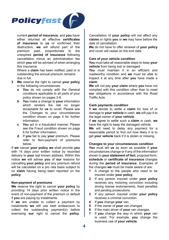

current **period of insurance**, and **you** have either returned all effective **certificates of insurance** to **us** or confirmed their destruction, **we** will refund part of the premium paid, proportionate to unexpired **period of insurance** following cancellation minus an administration fee which **you** will be advised of when arranging this insurance.

Where a **claim** has been notified, paid or is outstanding the annual premium remains due in full.

- **3 We** reserve the right to cancel **your policy**  in the following circumstances:
	- **a You** do not comply with the General conditions applicable to all parts of your policy shown on pages 3-8.
	- **b You** make a change to **your** information which renders the risk no longer acceptable for **us** to cover. Please see the Changes to your circumstances condition shown on page 4 for further information.
	- **c You** act in a fraudulent manner. Please see the Fraud condition shown on page 6 for further information.
	- **d** If **you** fail to pay **your** premium. Please refer to Non-payment of premiums below.

If **we** cancel **your policy we** shall provide **you**  with 14 days prior written notice by recorded delivery to **your** last known address. Within this notice **we** will advise **you** of **our** reasons for cancelling **your policy** and any premium refund will be calculated on a pro rata basis subject to no **claim** having being been reported on the **policy**

#### **Non-payment of premiums**

**We** reserve the right to cancel **your policy** by providing 14 days prior written notice in the event of non-payment of the premium or default if **you** are paying by instalments.

If **we** are unable to collect a payment by instalments **we** will use best endeavours to collect the outstanding payment(s) before exercising **our** right to cancel the **policy**.

Cancellation of **your policy** will not affect any **claims** or rights **you** or **we** may have before the date of cancellation.

**We** do not have to offer renewal of **your policy**  and cover will cease on the end date.

#### **Care of your vehicle condition**

**You** must take all reasonable steps to keep **your vehicle** from being lost or damaged.

**You** must maintain it in an efficient and roadworthy condition and **we** must be able to inspect it at any time after **you** have made a **claim**.

**We** will not pay **your claim** where **you** have not complied with this condition other than to meet **our** obligations in accordance with the Road Traffic Acts.

#### **Cash payments condition**

If **we** decide to settle a **claim** for loss of or damage to **your vehicle** in cash, **we** will pay it to the legal owner of **your vehicle**.

If **we** agree to settle such a **claim** in cash, **we**  have the right to keep the damaged vehicle.

**We** will need to delay any payment for a reasonable period to find out how likely it is to get **your vehicle** back if it is stolen or missing.

#### **Changes to your circumstances condition**

**You** must tell **us** as soon as possible if **your**  circumstances change or if any of the information shown in **your statement of fact**, proposal form, **schedule** or **certificate of insurance** changes during the **period of insurance**. Examples of the changes **we** must be made aware of are:

- **1** A change to the people who need to be insured under **your policy**.
- **2** If any person insured under **your policy**  receives any motoring conviction including driving license endorsements, fixed penalties and pending prosecutions.
- **3** If any person insured under **your policy**  receives a criminal conviction.
- **4** If **you** change **your** van.
- **5** If the owner of **your** van changes.<br>**6** If the main driver of **your** van change
- **6** If the main driver of **your** van changes.<br>**7** If you change the way in which your
- **7** If **you** change the way in which **your** van is used. For example, **you** change the business use of **your vehicle**.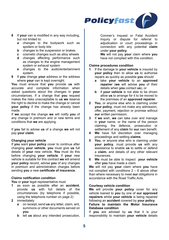

- **8** If **your** van is modified in any way including, but not limited to:
	- **a** changes to the bodywork such as spoilers or body kits
	- **b** changes to the suspension or brakes **c** cosmetic changes such as allow where
	- **c** cosmetic changes such as alloy wheels<br>**d** changes affecting performance such
	- changes affecting performance such as changes to the engine management system or exhaust system
	- **e** changes to the audio/entertainment system.
- **9** If **you** change **your** address or the address where **your** van is kept overnight.

**You** must ensure that **you** provide **us** with accurate and complete information when asked questions about the changes in **your**  circumstances. If a change that **you** request makes the risks unacceptable to **us we** reserve the right to decline to make the change or cancel **your policy** if the change has already been made.

If **we** accept the change **we** will notify **you** of any change in premium and or new terms and conditions that **we** are applying.

If **you** fail to advise **us** of a change **we** will not pay **your claim**.

#### **Changing your vehicle**

If **you** want **your policy** cover to continue after changing **your vehicle**, **you** must give **us** full details of **your** new vehicle. **You** must do this before changing **your vehicle**. If **your** new vehicle is suitable for this contract **we** will amend **your policy** record, advise **you** of any changes in premium and administration charges before sending **you** a new **certificate of insurance**.

#### **Claims notification condition**

You or your legal representative must

- **1** as soon as possible after an **accident**, provide **us** with full details of the circumstances (by telephone if possible, using the telephone number on page 2)
- **2** immediately
	- **a** on receipt, send **us** any letter, claim, writ, summons or other documents served on **you**
	- **b tell us** about any intended prosecution.

Coroner's Inquest or Fatal Accident Inquiry or dispute for referral to adjudication or court proceedings in connection with any potential **claim**  under **your policy**.

**We** will not pay **your** claim where **you** have not complied with this condition.

# **Claims procedures condition**<br>**1** If the damage to your vehi-

- **1** If the damage to **your vehicle** is insured by **your policy** then to allow **us** to authorise repairs as quickly as possible **you** should
	- **a** take **your vehicle** to an **approved repairer** (**we** will advise **you** of their details when **you** contact **us**), or
	- **b** if **your vehicle** is not able to be driven allow **us** to arrange for it to be moved to the premises of an **approved repairer**.
- **2 You**, or anyone else who is claiming under **your policy**, must not make any admission, offer, payment, rejection or promise without **our** written permission.
- **3** If **we** wish, **we** can take over and manage in **your** name, or the name of the person claiming, the defence, prosecution or settlement of any **claim** for **our** own benefit.
- **4 We** have full discretion over managing proceedings and settling **claims**.
- **5 You**, or anyone else who is claiming under **your policy**, must provide **us** with any assistance to enable **us** to settle or defend a **claim**, and details of any other relevant insurances.
- **6 We** must be able to inspect **your vehicle**  after **you** have made a claim

**We** will not pay **your** claim where **you** have not complied with conditions 2 – 6 above other than where necessary to meet **our** obligations in accordance with the Road Traffic Acts.

#### **Courtesy vehicle condition**

**We** will provide **your policy** cover for any vehicle loaned to **you** by one of **our approved repairers** whilst **your vehicle** is being repaired following an **accident** covered by **your policy**.

#### **Failure to maintain the Motor Insurance Database condition**

If **you** are advised by **us** that it is your responsibility to maintain **your vehicle** details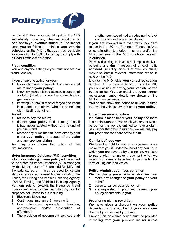

on the MID then **you** should update the MID immediately upon any changes additions or deletions to **your vehicle schedule**. The impact upon **you** for failing to maintain **your vehicle schedule** on the MID is that **you** may be liable for a fine of up to £5,000 for failing to comply with a Road Traffic Act obligation.

#### **Fraud condition**

**You** and anyone acting for **you** must not act in a fraudulent way.

If **you** or anyone acting for **you**:

- **1** knowingly makes a fraudulent or exaggerated **claim** under **your policy**;
- **2** knowingly makes a false statement in support of a **claim** (whether or not the **claim** itself is genuine); or
- **3** knowingly submit a false or forged document in support of a **claim** (whether or not the **claim** itself is genuine).

#### **We** will:

- **a** refuse to pay the **claim**;
- **b** declare **your policy** void, treating it as if it had never existed without any refund of premium; and
- **c** recover any sums that **we** have already paid under **your policy** in respect of the **claim**  and any previous **claims**.

**We** may also inform the police of the circumstances.

#### **Motor Insurance Database (MID) condition**

Information relating to **your policy** will be added to the Motor Insurance Database (MID) managed by the Motor Insurers' Bureau (MIB). MID and the data stored on it may be used by certain statutory and/or authorised bodies including the Police, the Driving and Vehicle Licensing Agency (DVLA), Driving and Vehicle Licensing Agency Northern Ireland (DVLAI), the Insurance Fraud Bureau and other bodies permitted by law for purposes not limited to but including

- **1** Electronic Licensing;
- **2** Continuous Insurance Enforcement;
- **3** Law enforcement (prevention, detection, apprehension and/or prosecution of offenders);
- **4** The provision of government services and/

or other services aimed at reducing the level and incidence of uninsured driving.

If **you** are involved in a road traffic **accident**  (either in the UK, the European Economic Area or certain other territories), insurers and/or the MIB may search the MID to obtain relevant information.

Persons (including their appointed representatives) pursuing a **claim** in respect of a road traffic **accident** (including citizens of other countries) may also obtain relevant information which is held on the MID.

It is vital the MID holds **your** correct registration number. If it is incorrectly shown on the MID **you** are at risk of having **your vehicle** seized by the police. **You** can check that **your** correct registration number details are shown on the MID at www.askmid.com

**You** should show this notice to anyone insured to drive the vehicle covered under **your policy**.

#### **Other insurance condition**

If a **claim** is made under **your policy** and there is other insurance cover which **you** are, or would be but for this **policy**, entitled to have a **claim**  paid under the other insurance, **we** will only pay **our** proportionate share of the **claim**.

#### **Our right of recovery**

**We** have the right to recover any payments **we**  make from **you** if, under the law of any country in which **you** are covered by this **policy**, **we** have to pay a **claim** or make a payment which **we**  would not normally have had to pay under the laws of England and Wales.

#### **Policy administration fees condition**

- **We** may charge **you** an administration fee if **we 1** make any changes to **your policy** on **your**  behalf
- **2** agree to cancel **your policy**, or<br>**3** are requested to print and re
- **3** are requested to print and re-send **your policy** documents to **you**.

#### **Proof of no claims condition**

**We** have given a discount on **your policy**  dependent on the number of years no claims discount **you** declared **you** have.

Proof of this no claims period must be provided in writing from **your** previous insurer unless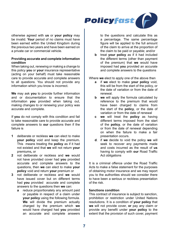

otherwise agreed with **us** or **your policy** may be invalid. **Your** period of no claims must have been earned within the United Kingdom during the previous two years and have been earned on a private car or commercial vehicle.

#### **Providing accurate and complete information condition**

When taking out, renewing or making a change to this policy **you** or **your** insurance representative (acting on your behalf) must take reasonable care to provide accurate and complete answers to all questions. You should not provide any information which you know is incorrect.

**We** may ask **you** to provide further information and or documentation to ensure that the information **you** provided when taking out, making changes to or renewing your policy was accurate and complete.

If **you** do not comply with this condition and fail to take reasonable care to provide accurate and complete answers to **our** questions then if the failure is

- **1** deliberate or reckless **we** can elect to make **your policy** void and keep the premium**.** This means treating the **policy** as if it had not existed and that **we** will not return **your** premiums**,** or
- **2** not deliberate or reckless and **we** would not have provided cover had **you** provided accurate and complete answers to the questions, then **we** can elect to make **your policy** void and return **your** premium or
- **3** not deliberate or reckless and **we** would have issued cover but on different terms had **you** provided accurate and complete answers to the questions then **we** can:
	- **a** reduce proportionately any amount paid or payable in respect of a claim under **your policy** using the following formula. **We** will divide the premium actually charged by the premium which **we** would have charged had **you** provided an accurate and complete answers

to the questions and calculate this as a percentage. The same percentage figure will be applied to the full amount of the claim to arrive at the proportion of the claim to be paid or payable; and/or

**b** treat **your policy** as if it had included the different terms (other than payment of the premium) that **we** would have imposed had **you** provided an accurate and complete answers to the questions

Where **we** elect to apply one of the above then

- **a** if **we** elect to make **your policy** void, this will be from the start of the policy, or the date of variation or from the date of renewal.
- **b we** will apply the formula calculated by reference to the premium that would have been charged to claims from the start of the **policy**, or the date of variation or from the date of renewal
- **c we** will treat the **policy** as having different terms imposed from the start of the **policy**, or the date of variation or from the date of renewal depending on when the failure to make a fair presentation occurs.
- **d**. if **we** decide to void the policy **we** will seek to recover any payments made and costs incurred as the result of **us** having to comply with **our** Road Traffic Act obligations

It is a criminal offence under the Road Traffic Acts to make a false statement for the purposes of obtaining motor insurance and we may report you to the authorities should we consider there to have been a serious or reckless presentation of the risk.

# **Sanctions condition**

This contract of insurance is subject to sanction, prohibition or restriction under United Nations resolutions. It is a condition of **your policy** that **we** will not provide cover, **or** pay any claim or provide any benefit under **your policy** to the extent that the provision of such cover, payment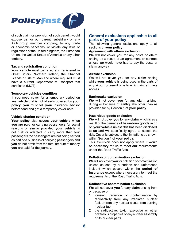

of such claim or provision of such benefit would expose **us,** or our parent, subsidiary or any AXA group member company, to any trade or economic sanctions, or violate any laws or regulations of the United Kingdom, the European Union, the United States of America or any other territory.

#### **Tax and registration condition**

Your vehicle must be taxed and registered in Great Britain, Northern Ireland, the Channel Islands or Isle of Man and where required must have a current Department of Transport test certificate (MOT).

#### **Temporary vehicles condition**

If **you** need cover for a temporary period on any vehicle that is not already covered by **your policy**, **you** must tell **your** insurance advisor beforehand and get a temporary cover note.

#### **Vehicle sharing condition**

**Your policy** also covers **your vehicle** when **you** are paid for carrying passengers for social reasons or similar provided **your vehicle** is not built or adapted to carry more than four passengers the passengers are not being carried as part of a business of carrying passengers and **you** do not profit from the total amount of money **you** are paid for the journey.

#### **General exclusions applicable to all parts of your policy**

The following general exclusions apply to all sections of **your policy**.

#### **Agreement with others exclusion**

**We** will not cover **you** for any costs or **claim**  arising as a result of an agreement or contract unless **we** would have had to pay the costs or **claim** anyway.

#### **Airside exclusion**

We will not cover **you** for any **claim** arising while **your vehicle** is being used in the parts of any airport or aerodrome to which aircraft have access.

#### **Earthquake exclusion**

**We** will not cover **you** for any **claim** arising, during or because of earthquake other than as provided for by Section 1 of **your policy**.

#### **Hazardous goods exclusion**

**We** will not cover **you** for any **claim** which is as a result of the carriage of **hazardous goods** in or on **your vehicle** unless this has been disclosed to **us** and **we** specifically agree to accept the risk. Cover is subject to the limitations as shown within Section 1 of **your policy**.

This exclusion does not apply where it would be necessary for **us** to meet **our** requirements under the Road Traffic Acts.

#### **Pollution or contamination exclusion**

**We** will not cover **you** for pollution or contamination unless caused by a sudden and unforeseen incident which occurs within the **period of insurance** except where necessary to meet the requirements of the Road Traffic Acts.

#### **Radioactive contamination exclusion**

**We** will not cover **you** for any **claim** arising from or because of

- **1** ionising, radiation or contamination by radioactivity from any irradiated nuclear fuel, or from any nuclear waste from burning nuclear fuel
- **2** the radioactive, toxic, explosive or other hazardous properties of any nuclear assembly or its nuclear parts.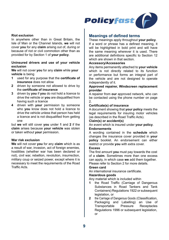

#### **Riot exclusion**

In anywhere other than in Great Britain, the Isle of Man or the Channel Islands, **we** will not cover **you** for any **claim** arising out of, during or because of riot or civil commotion other than as provided for by Section 1 of **your policy**.

#### **Uninsured drivers and use of your vehicle exclusion**

**We** will not cover **you** for any **claim** while **your vehicle** is being

- **1** used for any purpose that the **certificate of insurance** does not allow
- **2** driven by someone not allowed to drive by the **certificate of insurance**
- **3** driven by **you** if **you** do not hold a licence to drive the vehicle or **you** are disqualified from having such a licence
- **4** driven with **your** permission by someone who **you** know does not hold a licence to drive the vehicle unless that person has held a licence and is not disqualified from getting one

but **we** will still cover **you** under **1** and **2** if the **claim** arises because **your vehicle** was stolen or taken without **your** permission.

#### **War risk exclusion**

**We** will not cover **you** for any **claim** which is as a result of war, invasion, act of foreign enemies, hostilities (whether war has been declared or not), civil war, rebellion, revolution, insurrection, military coup or seized power, except where it is necessary to meet the requirements of the Road Traffic Acts.

# **Meanings of defined terms**

These meanings apply throughout **your policy**. If a word or phrase has a defined meaning, it will be highlighted in bold print and will have the same meaning wherever it is used. There are additional definitions specific to Section 12 which are shown in that section

#### **Accessory/Accessories**

Any items permanently attached to **your vehicle**  which is not directly related to its function or performance but forms an integral part of the vehicle and are not designed to operate independently of it.

#### **Approved repairer, Windscreen replacement provider**

A repairer from **our** approved network, who can be contacted using the phone number on page 2.

#### **Certificate(s) of insurance**

A document showing that **your policy** meets the legal requirements for insuring motor vehicles (as described in the Road Traffic Acts).

#### **Claim(s) or accident(s)**

An event which is insured under **your policy**. **Endorsements**

A wording contained in the **schedule** which changes the insurance cover provided in **your policy** booklet. An endorsement can either restrict or provide **you** with extra cover.

#### **Excess**

The first amount **you** must pay towards the cost of a **claim**. Sometimes more than one excess can apply, in which case **we** add them together. Please refer to Section 2 for more details.

#### **Green card**

An international insurance certificate.

#### **Hazardous goods**

Any material which is included within

- **1** the Road Traffic (Carriage of Dangerous Substances in Road Tankers and Tank Containers) Regulations 1922 or subsequent legislation, or
- **2** the Carriage of Dangerous Goods (Classification, Packaging and Labelling) an Use of Transportable Regulations 1996 or subsequent legislation. or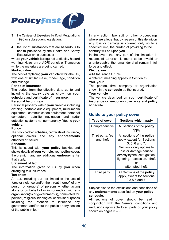

- **3** the Carriage of Explosives by Road Regulations 1996 or subsequent legislation.  $\alpha$ r
- **4** the list of substances that are hazardous to health published by the Health and Safety Executive or its successor

where **your vehicle** is required to display hazard warning (Hazchem or ADR) panels or Tremcards while the materials are being carried.

#### **Market value**

The cost of replacing **your vehicle** within the UK, with one of similar make, model, age, condition and mileage.

#### **Period of insurance**

The period from the effective date up to and including the expiry date as shown on **your schedule** and **certificate of insurance**.

#### **Personal belongings**

Personal property within **your vehicle** including clothing, portable audio equipment, multi-media equipment, communication equipment, personal computers, satellite navigation and radar detection systems not permanently fitted to **your vehicle**.

#### **Policy**

The policy booklet, **schedule**, **certificate of insurance**, optional covers and any **endorsements**  attached or issued.

#### **Schedule**

This is issued with **your policy** booklet and shows details of **your vehicle**, your **policy** cover, the premium and any additional **endorsements** that apply.

#### **Statement of fact**

The information given to **us** by **you** when arranging this insurance.

#### **Terrorism**

An act, including but not limited to the use of force or violence and/or the threat thereof, of any person or group(s) of persons whether acting alone or on behalf of or in connection with any organisation(s) or government(s), committed for political, religious, ideological or similar purposes including the intention to influence any government and/or put the public or any section of the public in fear.

In any action, law suit or other proceedings where **we** allege that by reason of this definition any loss or damage is covered only up to a specified limit, the burden of providing to the contrary will be upon **you**.

In the event that any part of the limitation in respect of terrorism is found to be invalid or unenforceable, the remainder shall remain in full force and effect.

#### **We, us, our**

AXA Insurance UK plc.

A different meaning applies in Section 12.

#### **You, your**

The person, firm, company or organisation shown in the **schedule** as the insured.

#### **Your vehicle**

The vehicle described on **your certificate of insurance** or temporary cover note and **policy schedule**.

# **Guide to your policy cover**

| <b>Type of cover</b>           | Sections which apply                                                                                                                                                                                                               |
|--------------------------------|------------------------------------------------------------------------------------------------------------------------------------------------------------------------------------------------------------------------------------|
| Comprehensive                  | All sections of the <b>policy</b><br>apply                                                                                                                                                                                         |
| Third party, fire<br>and theft | All sections of the <b>policy</b><br>apply, except for Sections<br>3.5.6 and 7.<br>Section 2 only applies to<br>loss or damage caused<br>directly by fire, self-ignition,<br>lightning, explosion, theft<br>or<br>attempted theft. |
| Third party                    | All Sections of the <b>policy</b><br>apply, except for sections<br>$2.3.5.6$ and $7.$                                                                                                                                              |

Subject also to the exclusions and conditions of any **endorsements** specified on **your policy schedule**.

All sections of cover should be read in conjunction with the General conditions and exclusions applicable to all parts of your policy shown on pages  $3 - 9$ .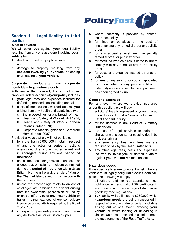

# **Section 1 – Legal liability to third parties**

#### **What is covered**

**We** will cover **you** against **your** legal liability resulting from any one **accident** involving **your vehicle** for

- **1** death of or bodily injury to anyone and
- **2** damage to property resulting from any **accident** involving **your vehicle**, or loading or unloading of **your vehicle**.

#### **Corporate manslaughter and corporate homicide – legal defence costs**

With **our** written consent, the limit of cover provided under Section 1 of **your policy** includes

- **1 your** legal fees and expenses incurred for defending proceedings including appeals
- **2** costs of prosecution awarded against **you**  arising from any health and safety inquiry or criminal proceedings for any breach of the:
	- **a** Health and Safety at Work etc Act 1974;
	- **b Health and Safety at Work (Northern**) Ireland) Order 1978;
	- **c** Corporate Manslaughter and Corporate Homicide Act 2007

Provided always that **we** will not be liable:

- for more than £5,000,000 in total in respect of any one action or series of actions arising out of any one insured event and in aggregate during any one **period of insurance**
- **2** unless the proceedings relate to an actual or alleged act, omission or incident committed during the **period of insurance** within Great Britain, Northern Ireland, the Isle of Man or the Channel Islands and in connection with the business
- **3** unless the proceedings relate to an actual or alleged act, omission or incident arising from the ownership, possession or use by or on behalf of **you** of any motor vehicle or trailer in circumstances where compulsory insurance or security is required by the Road Traffic Acts
- **4** in respect of proceedings which result from any deliberate act or omission by **you**
- **5** where indemnity is provided by another insurance policy
- **6** for fines or penalties or the cost of implementing any remedial order or publicity order
- **7** for any appeal against any fine penalty remedial order or publicity order
- **8** for costs incurred as a result of the failure to comply with any remedial order or publicity order
- **9** for costs and expense insured by another policy
- **10** for fees of any solicitor or council appointed by or on behalf of any person entitled to indemnity unless consent to the appointment has been agreed by **us**.

#### **Costs and expenses**

For any event where **we** provide insurance under this section, **we** will pay

- **1** solicitors' fees to represent anyone insured under this section at a Coroner's Inquest or Fatal Accident Inquiry
- **2** for the defence in any Court of Summary Jurisdiction
- **3** the cost of legal services to defend a charge of manslaughter or causing death by reckless driving
- **4** any emergency treatment fees **we** are required to pay by the Road Traffic Acts
- **5** any other legal fees, costs and expenses incurred to investigate or defend a **claim**  against **you**, with **our** written consent.

#### **Hazardous goods**

If **we** specifically agree to accept a risk where a vehicle must legally carry Hazardous Chemical plates the following will apply:<br>1 all drivers and vehicle

- all drivers and vehicle attendants must hold a current and valid ADR certificate in accordance with the carriage of dangerous goods by road regulations
- **2 our** liability will be limited to £250,000 whilst **hazardous goods** are being transported in respect of any one **claim** or series of **claims**  arising out of one event involving **your vehicle** or whilst loading or unloading it. Unless **we** have to exceed this limit to meet the requirements of the Road Traffic Acts.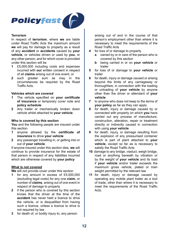

#### **Terrorism**

In respect of **terrorism**, where **we** are liable under Road Traffic Acts the maximum amount **we** will pay for damage to property as a result of any **accident** or **accidents** caused by **your vehicle**, or vehicles driven or used by **you**, or any other person, and for which cover is provided under this section will be

- **1** £5,000,000 including costs and expenses incurred with **our** written consent in respect of all **claims** arising out of one event, or
- **2** such greater sum as may in the circumstances be required by the Road Traffic Acts.

#### **Vehicles which are covered**

- **1** The vehicle specified on **your certificate of insurance** or temporary cover note and **policy schedule**.
- **2** Any trailer or mechanically broken down vehicle whilst attached to **your vehicle**.

#### **Who is covered by this section**

**You** and the following people are insured under this section

- **1** anyone allowed by the **certificate of insurance** to drive **your vehicle**
- **2** any passenger travelling in, or getting into or out of **your vehicle**.

If anyone insured under this section dies, **we** will continue to provide insurance for the estate of that person in respect of any liabilities incurred which are otherwise covered by **your policy**

#### **What is not covered**

**We** will not provide cover under this section

- **1** for any amount in excess of £5,000,000 (excluding legal costs) for any one **claim**, or number of **claims**, arising out of one event in respect of damage to property
- **2** if the person who is covered by this section knows that the driver at the time of the **accident** has never held a licence to drive the vehicle, or is disqualified from having such a licence, unless a licence to drive is not required by law
- **3** for death of, or bodily injury to, any person

arising out of and in the course of that person's employment other than where it is necessary to meet the requirements of the Road Traffic Acts

- **4** for loss of or damage to property
	- **a** owned by or in care of the person who is covered by this section
	- **b** being carried in or on **your vehicle** or trailer
- **5** for loss of or damage to **your vehicle** or trailer
- **6** for death, injury or damage caused or arising beyond the limits of any carriageway or thoroughfare, in connection with the loading or unloading of **your vehicle** by anyone other than the driver or attendant of **your vehicle**
- **7** to anyone who does not keep to the terms of **your policy** as far as they can apply
- **8** for death, injury or damage caused by or connected with property on which **you** have carried out any process of manufacture, construction, alteration, repair or treatment directly or indirectly caused in connection with using **your vehicle**
- **9** for death, injury, or damage resulting from the explosion of any pressurised container which is part of plant attached to **your vehicle**, except so far as is necessary to satisfy the Road Traffic Acts
- **10** damage to any bridge, viaduct, weigh bridge, road or anything beneath by vibration or by the weight of **your vehicle** and its load if **your vehicle** and/or trailer exceeds the maximum gross vehicle, plated or train weight permitted by the relevant law
- **11** for death, injury or damage caused by operating any mobile plant trailer as a tool of trade, other than where it is necessary to meet the requirements of the Road Traffic Acts.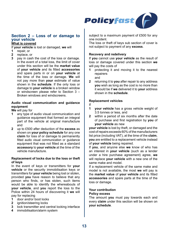

# **Section 2 – Loss of or damage to your vehicle**

# **What is covered**

If **your vehicle** is lost or damaged, **we** will

- **1 repair**, or<br>**2 replace c**
- **2 replace**, or<br>**3 pay** in cash
- **3** pay in cash the cost of the loss or damage. In the event of a total loss, the limit of cover under this section will be the **market value**  of **your vehicle** and its fitted **accessories**  and spare parts in or on **your vehicle** at the time of the loss or damage. **We** will not pay more than **your** estimate of value shown in the **schedule**. If the only loss or damage to **your vehicle** is a broken window or windscreen please refer to Section 3 – Broken windows and windscreens.

#### **Audio visual communication and guidance equipment**

**We** will pay for

- **1** any type of audio visual communication and guidance equipment that formed an integral part of the vehicle at original manufacture and
- **2** up to £500 after deduction of the **excess** as shown on **your policy schedule** for any one **claim** for loss of or damage to permanently fitted audio visual communication or guidance equipment that was not fitted as a standard **accessory** to **your vehicle** at the time of the vehicle manufacture.

#### **Replacement of locks due to the loss or theft of keys**

In the event of keys or transmitters for **your vehicle** or the security immobilisation keys or transmitters for **your vehicle** being lost or stolen, provided **you** have reason to believe that any person who finds, or has stolen, such items would be able to identify the whereabouts of **your vehicle**, and **you** report the loss to the Police within 24 hours of discovering it **we** will pay for replacing

- **1 door and/or boot locks**<br>**2 ignition/steering locks**
- **2** ignition/steering locks<br>**3** lock transmitter and ce
- lock transmitter and central locking interface
- **4** immobilisation/alarm system

subject to a maximum payment of £500 for any one incident.

The loss or theft of keys sub section of cover is not subject to payment of any **excess**.

#### **Recovery and redelivery**

If **you** cannot use **your vehicle** as the result of loss or damage covered under this section **we**  will pay the costs of<br>1 **protecting** it and

- **1** protecting it and moving it to the nearest repairers and
- **2** returning it to **you** after repair to any address **you** wish as long as the cost is no more than it would be if **we** delivered it to **your** address shown in the **schedule**.

#### **Replacement vehicles**

- If<br>1
- **1 your vehicle** has a gross vehicle weight of 3.5 tonnes or less, and
- **2** within a period of six months after the date of purchase and first registration by **you** of **your vehicle** as new

**your vehicle** is lost by theft, or damaged and the cost of repairs exceeds 60% of the manufacturers list price (including VAT), at the time of the **claim**, **you** are entitled to a replacement vehicle instead of **your vehicle** being repaired.

If **you**, and anyone else **we** know of who has an interest in **your vehicle** (such as a lender under a hire purchase agreement) agree, **we**  will replace **your vehicle** with a new one of the same make and model.

If a replacement vehicle of the same make and model is not available, the most **we** will pay is the **market value** of **your vehicle** and its fitted **accessories** and spare parts at the time of the loss or damage.

#### **Your contribution**

#### **Policy excess**

The amount **you** must pay towards each and every **claim** under this section will be shown on **your schedule**.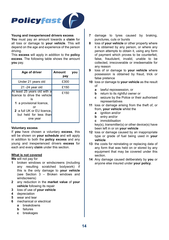

#### **Young and inexperienced drivers excess**

**You** must pay an amount towards a **claim** for all loss or damage to **your vehicle**. This will depend on the age and experience of the person driving.

This **excess** will apply in addition to the **policy excess**. The following table shows the amount **you** pay.

| Age of driver                                                                                                                                                            | Amount<br>pay | vou |
|--------------------------------------------------------------------------------------------------------------------------------------------------------------------------|---------------|-----|
| Under 21 years old                                                                                                                                                       | £300          |     |
| $21 - 24$ year old                                                                                                                                                       | £150          |     |
| At least 25 years old with a<br>licence to drive the vehicle<br>is<br>1 a provisional licence,<br>nr<br>2 a full UK or EU licence,<br>but held for less than<br>one year | £150          |     |

#### **Voluntary excess**

If **you** have chosen a voluntary **excess**, this will be shown on **your schedule** and will apply in addition to both the **policy excess** and any young and inexperienced drivers **excess** for each and every **claim** under this section.

#### **What is not covered**

**We** will not pay for

- **1** broken windows or windscreens (including any resulting scratched bodywork) if this is the only damage to **your vehicle**  (see Section 3 – Broken windows and windscreens)
- **2** any reduction in the **market value** of **your vehicle** following its repair
- **3** loss of use of **your vehicle**
- **4** depreciation
- **5** wear and tear
- **6** mechanical or electrical
	- **a** breakdowns
	- **b** failures
	- **c** breakages
- **7** damage to tyres caused by braking, punctures, cuts or bursts
- **8** loss of **your vehicle** or other property where it is obtained by any person, or where any person attempts to obtain it, using any form of payment which proves to be counterfeit, false, fraudulent, invalid, unable to be collected, irrecoverable or irredeemable for any reason
- **9** loss of or damage to **your vehicle** where possession is obtained by fraud, trick or false pretence
- **10** loss or damage to **your vehicle** as the result of
	- **a** lawful repossession, or
	- **b** return to its rightful owner or
	- **c** seizure by the Police or their authorised representatives
- **11** loss or damage arising from the theft of, or from, **your vehicle** whilst the
	- **a** ignition and/or
	- **b** entry and/or
	- **c** immobilisation

key(s), transmitter(s) or other device(s) have been left in or on **your vehicle**

- **12** loss or damage caused by an inappropriate type or grade of fuel being used in **your vehicle**
- **13** the costs for reinstating or replacing data of any form that was held on or stored by any equipment that may be covered under this section.
- **14** Any damage caused deliberately by **you** or anyone else insured under **your policy**.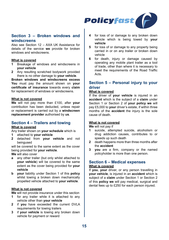

# **Section 3 – Broken windows and windscreens**

Also see Section 12 – AXA UK Assistance for details of the service **we** provide for broken windows and windscreens.

#### **What is covered**

- **1** Breakage of windows and windscreens in **your vehicle**
- **2** Any resulting scratched bodywork provided there is no other damage to **your vehicle**.

**Broken windows and windscreens excess You** must pay the amount shown on **your certificate of insurance** towards every **claim**  for replacement of windows or windscreens.

#### **What is not covered**

**We** will not pay more than £100, after **your**  contribution has been deducted, unless repair or replacement is carried out by a **windscreen replacement provider** authorised by **us**.

# **Section 4 – Trailers and towing**

#### **What is covered**

Any trailer shown on **your schedule** which is

- **1** attached to **your vehicle**
- **2** detached from **your vehicle** and not beingused

will be covered to the same extent as the cover being provided for **your vehicle**.

**We** will also cover

- **a** any other trailer (but only whilst attached to **your vehicle**) will be covered to the same extent as the cover being provided for **your vehicle**
- **b your** liability under Section 1 of this **policy**  whilst towing a broken down mechanically propelled vehicle attached to **your vehicle**.

#### **What is not covered**

**We** will not provide insurance under this section

- **1** for any trailer while it is attached to any vehicle other than **your vehicle**
- **2** if **you** have exceeded the current DVLA requirements for towing trailers
- **3** if **your vehicle** is towing any broken down vehicle for payment or reward
- **4** for loss of or damage to any broken down vehicle which is being towed by **your vehicle**
- **5** for loss of or damage to any property being carried in or on any trailer or broken down vehicle
- **6** for death, injury or damage caused by operating any mobile plant trailer as a tool of trade, other than where it is necessary to meet the requirements of the Road Traffic Acts.

# **Section 5 – Personal injury to your driver**

#### **What is covered**

If the driver of **your vehicle** is injured in an **accident** which is the subject of a **claim** under Section 1 or Section 2 of **your policy we** will pay £5,000 to **your** driver's estate, if within three months of the **accident** the injury is the sole cause of death.

#### **What is not covered**

**We** will not pay if<br>1 suicide atter

- **1** suicide, attempted suicide, alcoholism or drug addiction causes, contributes to or speeds up such death
- **2** death happens more than three months after the **accident**
- **3 you** are a firm, company or the named policyholder is more than one person.

## **Section 6 – Medical expenses What is covered**

If **you**, **your** driver, or any person travelling in **your vehicle**, is injured in an **accident** which is subject of a **claim** under Section 1 or Section 2 of this **policy we** will pay medical, surgical and dental fees up to £250 for each person injured.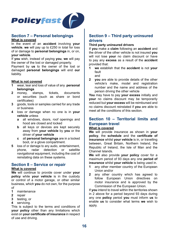

# **Section 7 – Personal belongings**

#### **What is covered**

In the event of an **accident** involving **your vehicle**, **we** will pay up to £250 in total for loss of or damage to **personal belongings** in, or on, **your vehicle**.

If **you** wish, instead of paying **you**, **we** will pay the owner of the lost or damaged property.

Payment by **us** to the owner of the lost or damaged **personal belongings** will end **our**  liability.

#### **What is not covered**

- **1** wear, tear and loss of value of any **personal belongings**<br>money stamps.
- **2 money** stamps, tickets, documents or securities (such as share or bond certificates)
- **3** goods, tools or samples carried for any trade or business
- **4** loss or damage when no one is in **your vehicle** unless
	- **a** all windows, doors, roof openings and hood are closed and locked
	- **b** all keys or devices are kept securely away from **your vehicle** by **you** or the driver of **your vehicle**
	- **c** all **personal belongings** are in a locked boot, or a glove compartment.
- **5 loss of or damage to any audio, entertainment,**<br>phone **radar** detection or satellite phone, radar detection or navigational equipment, including the cost of reinstating data on these systems.

# **Section 8 – Service or repair**

#### **What is covered**

**We** will continue to provide cover under **your policy** while **your vehicle** is in the custody or control of a motor garage, or other similar business, which **you** do not own, for the purpose of

- 1 maintenance<br>2 repair
- **2** repair
- **3** testing, or
- **4** servicing.

This is subject to the terms and conditions of **your policy** other than any limitations which exist on **your certificate of insurance** in respect of use and driving.

# **Section 9 – Third party uninsured drivers**

#### **Third party uninsured drivers**

If **you** make a **claim** following an **accident** and the driver of the other vehicle is not insured **you**  will not lose **your** no claim discount or have to pay any **excess** as a result of the **accident**  provided that:

- **1 we** establish that the **accident** is not **your**  fault and
- **2 you** are able to provide details of the other vehicle's make, model and registration number and the name and address of the person driving the other vehicle

**You** may have to pay **your excess** initially and **your** no claims discount may be temporarily reduced but **your excess** will be reimbursed and no claims discount reinstated if **you** are able to meet all the conditions of this section.

# **Section 10 – Territorial limits and European travel**

# **What is covered**

**We** will provide insurance as shown in **your policy**, the **schedule** and the **certificate of insurance** whilst **your vehicle** is in, or travelling between, Great Britain, Northern Ireland, the Republic of Ireland, the Isle of Man and the Channel Islands.

**We** will also provide **your policy** cover for a maximum period of 93 days any one **period of insurance** whilst **your vehicle** is being used in.<br>**1** any other member country of the European

- **1** any other member country of the European Union and/or
- **2** any other country which has agreed to follow European Union directives on motor insurance and is approved by the Commission of the European Union.

If **you** intend to travel within the territories shown in 2 above for a period beyond 93 days during any one **policy** period **you** must inform **us** to enable **us** to consider what terms **we** wish to apply.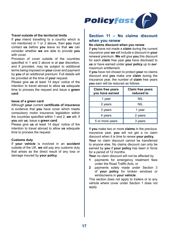

#### **Travel outside of the territorial limits**

If **you** intend travelling to a country which is not mentioned in 1 or 2 above, then **you** must contact **us** before **you** leave so that **we** can consider whether **we** are able to provide **you**  with cover.

Provision of cover outside of the countries specified in 1 and 2 above is at **our** discretion, and if provided, may be subject to additional terms being imposed on **your** cover and payment by **you** of an additional premium. Full details will be provided at the time of **your** request.

Please give **us** at least 14 days' notice of the intention to travel abroad to allow **us** adequate time to process the request and issue a **green card**.

#### **Issue of a green card**

Although **your** current **certificate of insurance**  is evidence that **you** have cover which meets compulsory motor insurance legislation within the countries specified within 1 and 2, **we** will, if **you** ask **us**, issue a **green card**.

Please give **us** at least 14 days' notice of the intention to travel abroad to allow **us** adequate time to process the request.

#### **Customs duty**

If **your vehicle** is involved in an **accident**  outside of the UK, **we** will pay any customs duty that arises as the direct result of any loss or damage insured by **your policy**.

# **Section 11 – No claims discount when you renew**

#### **No claims discount when you renew**

If **you** have not made a **claim** during the current insurance year **we** will include a discount in **your** renewal premium. **We** will give **you** this discount for each **claim** free year **you** have disclosed to **us** or have earned under **your policy** up to **our** maximum entitlement.

If **you** have not chosen to protect **your** no claims discount and **you** make one **claim** during the insurance year, the number of **claim** free years **you** earn will be reduced as follows

| Claim free years<br>you have earned | <b>Claim free years</b><br>reduced to |
|-------------------------------------|---------------------------------------|
| 1 year                              | NIL                                   |
| 2 years                             | NIL                                   |
| 3 years                             | 1 year                                |
| 4 years                             | 2 years                               |
| 5 or more years                     | 3 years                               |

If **you** make two or more **claims** in the previous insurance year, **you** will not get a no claim discount when it is time to renew **your policy**. **Your** no claim discount cannot be transferred to anyone else. No claims discount can only be earned by **you** if **your policy** has been in force for a period of 12 months.

**Your** no claim discount will not be affected by

- **1** payments for emergency treatment fees under the Road Traffic Acts, or
- **2** payments solely made under Section 3 of **your policy** for broken windows or windscreens in **your vehicle**.

This section does not apply to trailers or to any vehicle where cover under Section 1 does not apply.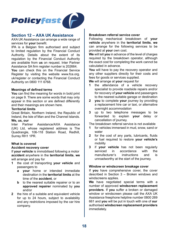

# **Section 12 – AXA UK Assistance**

AXA UK Assistance can arrange a wide range of services for **your** benefit.

IPA is a Belgian firm authorised and subject to limited regulation by the Financial Conduct Authority. Details about the extent of its regulation by the Financial Conduct Authority are available from **us** on request. Inter Partner Assistance SA firm register number is 202664.

**You** can check this on the Financial Service Register by visiting the website www.fca.org. uk/register or contacting the Financial Conduct Authority on 0800 111 6768.

#### **Meanings of defined terms**

**You** can find the meaning for words in bold print on page 9. There are some words that may only appear in this section or are defined differently and their meanings are shown here.

#### **Territorial limits**

Great Britain, Northern Ireland, the Republic of Ireland, the Isle of Man and the Channel Islands. **We, us, our**

Inter Partner Assistance/AXA Assistance (UK) Ltd, whose registered address is The Quadrangle, 106-118 Station Road, Redhill, Surrey RH1 1PR.

#### **What is covered**

#### **Accident recovery cover**

If **your vehicle** is immobilised following a motor **accident** anywhere in the **territorial limits**, **we**  will arrange and pay for

- **1** the cost of transporting **your vehicle** and passengers to
	- **a your** home or intended immediate destination in the **territorial limits** at the time of the **accident**, or
	- **b to the nearest suitable repairer or to an approved repairer** nominated by **you**  and/or
- **2** the hire of a suitable and equivalent vehicle for up to 24 hours, subject to availability and any restrictions imposed by the car hire company.

#### **Breakdown referral service cover**

Following mechanical breakdown of **your vehicle** anywhere in the **territorial limits**, **we**  can arrange for the following services to be provided at **your** own cost.

**We** will tell **you** in advance of the level of charges required by the breakdown operator, although the exact cost for completing the work cannot be calculated in advance.

**You** will have to pay the recovery operator and any other suppliers directly for their costs and fees for goods or services supplied.

**We** will arrange at **your** request for<br>**1** the attendance of a vehic

- **1** the attendance of a vehicle recovery specialist to provide roadside repairs and/or for recovery of **your vehicle** and passengers to the nearest suitable garage or destination
- **2 you** to complete **your** journey by providing a replacement hire car or taxi, or alternative overnight accommodation
- **3** up to two telephone messages to be forwarded to explain **your** delay or cancellation of journey.

The breakdown referral service is not available

- **1** for vehicles immersed in mud, snow, sand or water
- **2** for the cost of any parts, lubricants, fluids or fuel required to restore **your vehicle's**  mobility
- **3** if **your vehicle** has not been regularly<br>serviced in accordance with the accordance with the<br>instructions and is manufacturer's instructions and unroadworthy at the start of the journey.

#### **Window or windscreen breakage cover**

If **you** have comprehensive cover, the cover described in Section 3 – Broken windows and windscreens applies.

**We** have negotiated special terms with a number of approved **windscreen replacement providers**. If **you** suffer a broken or damaged window or windscreen please call the AXA UK Assistance freephone helpline number 0800 269 661 and **you** will be put in touch with one of **our** authorised **windscreen replacement providers** immediately.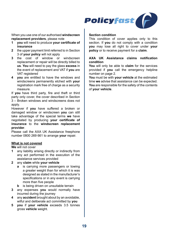

When you use one of our authorised **windscreen replacement providers**, please note<br>**1 vou** will need to produce your cer-

- **1 you** will need to produce **your certificate of insurance**
- **2** the upper payment limit referred to in Section 3 of **your policy** will not apply
- **3** the cost of window or windscreen replacement or repair will be directly billed to **us**. **You** will need to pay the glass **excess** in the event of replacement and VAT if **you** are VAT registered
- **4 you** are entitled to have the windows and windscreens permanently etched with **your**  registration mark free of charge as a security measure.

If **you** have third party, fire and theft or third party only cover, the cover described in Section 3 – Broken windows and windscreens does not apply.

However if **you** have suffered a broken or damaged window or windscreen **you** can still take advantage of the special terms **we** have negotiated by producing **your certificate of insurance** to the **windscreen replacement provider**.

Please call the AXA UK Assistance freephone number 0800 269 661 to arrange **your** repair.

#### **What is not covered**

**We** will not cover

- **1** any liability arising directly or indirectly from any act performed in the execution of the assistance services provided
- **2** any **claim** while **your vehicle** 
	- **a** is carrying more passengers or towing a greater weight than for which it is was designed as stated in the manufacturer's specifications or in any event is carrying more than five people
	- **b** is being driven on unsuitable terrain
- **3** any expenses **you** would normally have incurred during the journey
- **4** any **accident** brought about by an avoidable, wilful and deliberate act committed by **you**
- **5 you** if **your vehicle** exceeds 3.5 tonnes gross **vehicle** weight.

#### **Section condition**

This condition of cover applies only to this section. If **you** do not comply with a condition **you** may lose all right to cover under **your policy** or to receive payment for a **claim**.

#### **AXA UK Assistance claims notification condition**

**You** will only be able to **claim** for the services provided if **you** call the emergency helpline number on page 2.

**You** must be with **your vehicle** at the estimated time **we** advise that assistance can be expected. **You** are responsible for the safety of the contents of **your vehicle**.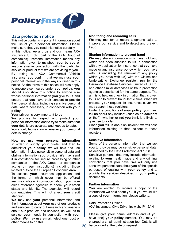

# **Data protection notice**

This notice contains important information about the use of **your** personal information. Please make sure that **you** read this notice carefully. In this notice, **we** and **us** and **our** means AXA Insurance UK plc (part of the AXA Group of companies). Personal information means any information given to **us** about **you**, by **you** or anyone else in connection with the particular service or product that **we** are providing to **you**. By taking out AXA Commercial Vehicle Insurance, **you** confirm that **we** may use **your**  personal information in the ways outlined in this notice. As the terms of this notice will also apply to anyone else insured under **your policy**, **you**  should also show this notice to anyone else whose personal information **you** give to **us** and ensure that **you** have their consent to provide their personal data, including sensitive personal data, where necessary, in connection with **your policy**.

**Your** privacy is very important to **us**.

**We** promise to respect and protect **your**  personal information and to try to make sure that **your** details are accurate and kept up to date. **You** should let **us** know whenever **your** personal details change.

**How we use your personal information**  In order to supply **your** quote, and then to administer **your policy**, **we** will hold and use information including sensitive personal data and **claims** information **you** provide. **We** may send it in confidence for secure processing to other companies in the AXA Group (or companies acting on **our** instructions) including those located outside the European Economic Area.

To assess **your** insurance application and the terms on which cover may be offered **we** may obtain information about **you** from credit reference agencies to check **your** credit status and identity. The agencies will record **our** enquiries. This will not affect **your** credit standing.

**We** may use **your** personal information and the information about **your** use of **our** products and services to carry out research and analysis about **our** products and services, as well as to service **your** needs in connection with **your policy**. **We** may use e-mail, telephone, post or other means to do this.

#### **Monitoring and recording calls**

**We** may monitor or record telephone calls to improve **our** service and to detect and prevent fraud.

#### **Sharing information to prevent fraud**

**We** may share information which **we** hold and which has been supplied to **us** in connection with any application for insurance that **you** have made or any insurance **policy** which **you** have with **us** (including the renewal of any policy which **you** have with **us**) with the Claims and Underwriting Exchange register, run by the Insurance Database Services Limited (IDS Ltd) and other similar databases or fraud prevention agencies established for the same purpose. The aim is to help **us** check information that is given to **us** and to prevent fraudulent claims. When **we** process **your** request for insurance cover, **we**  may search these registers.

Under the conditions of **your policy**, **you** must tell **us** about any incident (such as an **accident**  or theft), whether or not **you** think it is likely to give rise to a **claim**.

When **you** tell **us** about an incident, **we** will pass information relating to that incident to these registers.

#### **Sensitive information**

Some of the personal information that **we** ask **you** to provide may be sensitive personal data, as defined by the Data Protection Act 1998.

Sensitive personal data may include information relating to **your** health, race and any criminal convictions that **you** have. **We** will only use sensitive personal data about **you** of the specific purposes of dealing with **your policy** and to provide the services described in **your policy**  documents.

#### **Further information**

**You** are entitled to receive a copy of the information **we** hold about **you**. If **you** would like a copy of **your** information, please write to;

#### Data Protection Officer

AXA Insurance, Civic Drive, Ipswich, IP1 2AN

Please give **your** name, address and (if **you**  have one) **your policy** number. **You** may be charged a small administration fee. Details will be provided at the date of request.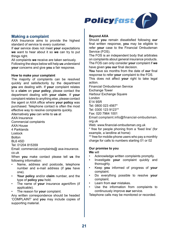

# **Making a complaint**

AXA Insurance aims to provide the highest standard of service to every customer.

If **our** service does not meet **your** expectations **we** want to hear about it so **we** can try to put things right.

All complaints **we** receive are taken seriously. Following the steps below will help **us** understand **your** concerns and give **you** a fair response.

#### **How to make your complaint**

The majority of complaints can be resolved quickly and satisfactorily by the department **you** are dealing with. If **your** complaint relates to a **claim** on **your policy**, please contact the department dealing with **your claim**. If **your**  complaint relates to anything else, please contact the agent or AXA office where **your policy** was purchased. Telephone contact is often the most effective way to resolve complaints quickly. Alternatively **you** can write to **us** at

AXA Insurance

Commercial complaints

AXA House

4 Parklands

Lostock

Bolton

BL6 4SD

Tel: 01204 815359

Email: commercial.complaints@ axa-insurance. co.uk

When **you** make contact please tell **us** the following information:

- Name, address and postcode, telephone number and e-mail address (if **you** have one).
- **Your policy** and/or **claim** number, and the type of **policy you** hold.
- The name of **your** insurance agent/firm (if applicable).
- The reason for **your** complaint.

Any written correspondence should be headed 'COMPLAINT' and **you** may include copies of supporting material.

#### **Beyond AXA**

Should **you** remain dissatisfied following **our**  final written response, **you** may be eligible to refer **your** case to the Financial Ombudsman Service (FOS).

The FOS is an independent body that arbitrates on complaints about general insurance products. The FOS can only consider **your** complaint if **we**  have given **you our** final decision.

**You** have six months from the date of **our** final response to refer **your** complaint to the FOS.

This does not affect **your** right to take legal action.

Financial Ombudsman Service Exchange Tower Harbour Exchange Square London E14 9SR Tel: 0800 023 4567\* Tel: 0300 123 9123\*\* Fax: 020 7964 1001

Email:complaint.info@financial-ombudsman. org.uk

Web: www.financial-ombudsman.org.uk

\* free for people phoning from a 'fixed line' (for example, a landline at home)

\*\* free for mobile-phone users who pay a monthly charge for calls to numbers starting 01 or 02

#### **Our promise to you**

**We** will

- Acknowledge written complaints promptly.
- Investigate **your** complaint quickly and thoroughly.
- Keep **you** informed of progress of **your**  complaint.
- Do everything possible to resolve **your**  complaint.
- Learn from **our** mistakes.
- Use the information from complaints to continuously improve **our** service.

Telephone calls may be monitored or recorded.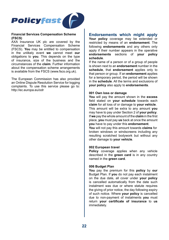

#### **Financial Services Compensation Scheme (FSCS)**

AXA Insurance UK plc are covered by the Financial Services Compensation Scheme (FSCS). **You** may be entitled to compensation in the unlikely event **we** cannot meet **our**  obligations to **you**. This depends on the type of insurance, size of the business and the circumstances of the **claim**. Further information about the compensation scheme arrangements is available from the FSCS (www.fscs.org.uk).

The European Commission has also provided an Online Dispute Resolution Service for logging complaints. To use this service please go to: http://ec.europa.eu/odr

# **Endorsements which might apply**

**Your policy** coverage may be extended or restricted by means of an **endorsement**. The following **endorsements** and any others only apply if their number appears in the operative **endorsements** sections of **your policy schedule**.

If the name of a person or of a group of people is shown next to an **endorsement** number in the **schedule**, that **endorsement** applies only to that person or group. If an **endorsement** applies for a temporary period, the period will be shown in the **schedule**. All the terms and exclusions of **your policy** also apply to **endorsements**.

#### **001 Own loss or damage**

**You** will pay the amount shown in the **excess**  field stated on **your schedule** towards each **claim** for all loss of or damage to **your vehicle**. This amount will be extra to any amount **you**  may have to pay under Section 2 of **your policy**. If **we** pay the whole amount of the **claim** in the first place, **you** must pay **us** back at once the amount **you** have to pay under this **endorsement**.

**You** will not pay this amount towards **claims** for broken windows or windscreens including any resulting scratched bodywork but without any other damage to **your vehicle**.

#### **002 European travel**

**Policy** coverage applies when any vehicle described in the **green card** is in any country named in the **green card**.

#### **006 Budget Plan**

**You** pay the premium for this **policy** by **our**  Budget Plan. If **you** do not pay each instalment on the due date, all cover under **your policy**  is cancelled automatically from the date such instalment was due or where statute requires the giving of prior notice, the day following expiry of such notice. Where **your policy** is cancelled due to non-payment of instalments **you** must return **your certificate of insurance** to **us**  immediately.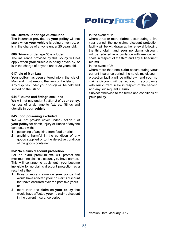

#### **007 Drivers under age 25 excluded**

The insurance provided by **your policy** will not apply when **your vehicle** is being driven by, or is in the charge of anyone under 25 years old.

#### **009 Drivers under age 30 excluded**

The insurance provided by this **policy** will not apply when **your vehicle** is being driven by, or is in the charge of anyone under 30 years old.

#### **017 Isle of Man Law**

**Your policy** has been entered into in the Isle of Man and must keep to the laws of the Island. Any disputes under **your policy** will be held and settled on the Island.

#### **044 Fixtures and fittings excluded**

**We** will not pay under Section 2 of **your policy**, for loss of or damage to fixtures, fittings and utensils in **your vehicle**.

#### **045 Food poisoning excluded**

**We** will not provide cover under Section 1 of **your policy** for death, injury or illness of anyone connected with:

- **1 poisoning of any kind from food or drink;**<br>**2 anything harmful** in the condition of
- **2** anything harmful in the condition of any goods supplied or to the defective condition of the goods container.

#### **052 No claims discount protection**

For an extra premium **we** will protect the maximum no claims discount **you** have earned. This will continue to apply until **you** become ineligible for no claims discount protection as a result of either

- **1** three or more **claims** on **your policy** that would have affected **your** no claims discount that have occurred over the past five years or
- **2** more than one **claim** on **your policy** that would have affected **your** no claims discount in the current insurance period.

In the event of  $1$ .

where three or more **claims** occur during a five year period, the no claims discount protection facility will be withdrawn at the renewal following the third **claim** and **your** no claims discount will be reduced in accordance with **our** current scale in respect of the third and any subsequent **claims**

#### In the event of 2:

where more than one **claim** occurs during **your**  current insurance period, the no claims discount protection facility will be withdrawn and **your** no claims discount will be reduced in accordance with **our** current scale in respect of the second and any subsequent **claims**.

Subject otherwise to the terms and conditions of **your policy**.

Version Date: January 2017